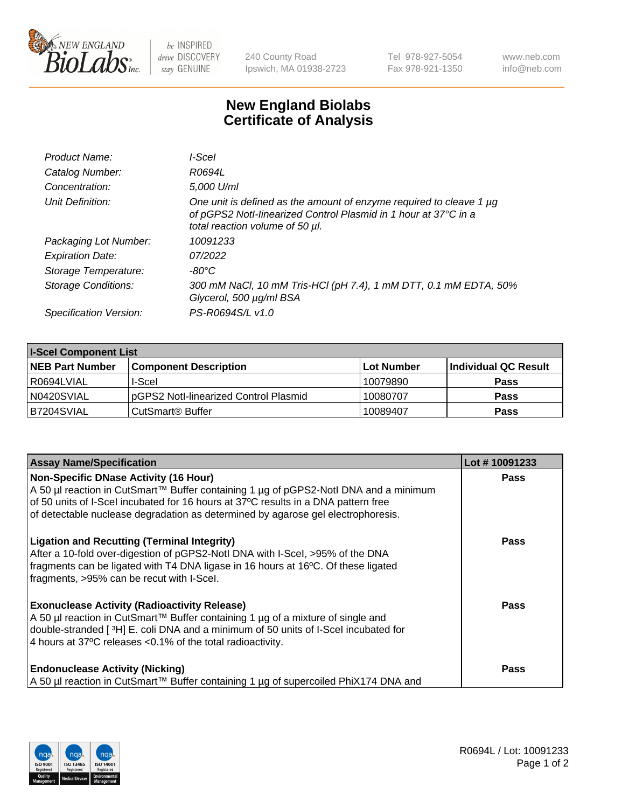

 $be$  INSPIRED drive DISCOVERY stay GENUINE

240 County Road Ipswich, MA 01938-2723 Tel 978-927-5054 Fax 978-921-1350 www.neb.com info@neb.com

## **New England Biolabs Certificate of Analysis**

| Product Name:           | l-Scel                                                                                                                                                                    |
|-------------------------|---------------------------------------------------------------------------------------------------------------------------------------------------------------------------|
| Catalog Number:         | R0694L                                                                                                                                                                    |
| Concentration:          | 5,000 U/ml                                                                                                                                                                |
| Unit Definition:        | One unit is defined as the amount of enzyme required to cleave 1 µg<br>of pGPS2 Notl-linearized Control Plasmid in 1 hour at 37°C in a<br>total reaction volume of 50 µl. |
| Packaging Lot Number:   | 10091233                                                                                                                                                                  |
| <b>Expiration Date:</b> | 07/2022                                                                                                                                                                   |
| Storage Temperature:    | -80°C                                                                                                                                                                     |
| Storage Conditions:     | 300 mM NaCl, 10 mM Tris-HCl (pH 7.4), 1 mM DTT, 0.1 mM EDTA, 50%<br>Glycerol, 500 µg/ml BSA                                                                               |
| Specification Version:  | PS-R0694S/L v1.0                                                                                                                                                          |

| <b>I-Scel Component List</b> |                                        |              |                      |  |
|------------------------------|----------------------------------------|--------------|----------------------|--|
| <b>NEB Part Number</b>       | <b>Component Description</b>           | l Lot Number | Individual QC Result |  |
| R0694LVIAL                   | I-Scel                                 | 10079890     | <b>Pass</b>          |  |
| N0420SVIAL                   | IpGPS2 Notl-linearized Control Plasmid | 10080707     | <b>Pass</b>          |  |
| B7204SVIAL                   | CutSmart <sup>®</sup> Buffer           | 10089407     | <b>Pass</b>          |  |

| <b>Assay Name/Specification</b>                                                                                                                                                                                                                                                             | Lot #10091233 |
|---------------------------------------------------------------------------------------------------------------------------------------------------------------------------------------------------------------------------------------------------------------------------------------------|---------------|
| <b>Non-Specific DNase Activity (16 Hour)</b><br>A 50 µl reaction in CutSmart™ Buffer containing 1 µg of pGPS2-Notl DNA and a minimum                                                                                                                                                        | <b>Pass</b>   |
| of 50 units of I-Scel incubated for 16 hours at 37°C results in a DNA pattern free<br>of detectable nuclease degradation as determined by agarose gel electrophoresis.                                                                                                                      |               |
| <b>Ligation and Recutting (Terminal Integrity)</b><br>After a 10-fold over-digestion of pGPS2-Notl DNA with I-Scel, >95% of the DNA<br>fragments can be ligated with T4 DNA ligase in 16 hours at 16°C. Of these ligated<br>fragments, >95% can be recut with I-Scel.                       | <b>Pass</b>   |
| <b>Exonuclease Activity (Radioactivity Release)</b><br>A 50 µl reaction in CutSmart™ Buffer containing 1 µg of a mixture of single and<br>double-stranded [3H] E. coli DNA and a minimum of 50 units of I-Scel incubated for<br>4 hours at 37°C releases < 0.1% of the total radioactivity. | <b>Pass</b>   |
| <b>Endonuclease Activity (Nicking)</b><br>  A 50 µl reaction in CutSmart™ Buffer containing 1 µg of supercoiled PhiX174 DNA and                                                                                                                                                             | Pass          |